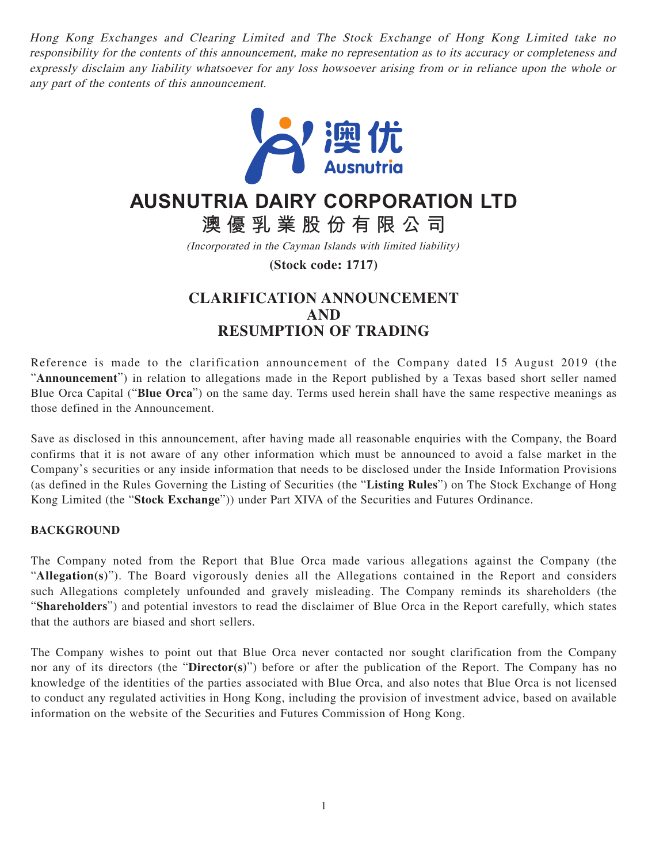Hong Kong Exchanges and Clearing Limited and The Stock Exchange of Hong Kong Limited take no responsibility for the contents of this announcement, make no representation as to its accuracy or completeness and expressly disclaim any liability whatsoever for any loss howsoever arising from or in reliance upon the whole or any part of the contents of this announcement.



# **AUSNUTRIA DAIRY CORPORATION LTD**

**澳優乳業股份有限公司**

(Incorporated in the Cayman Islands with limited liability)

**(Stock code: 1717)**

# **CLARIFICATION ANNOUNCEMENT AND RESUMPTION OF TRADING**

Reference is made to the clarification announcement of the Company dated 15 August 2019 (the "**Announcement**") in relation to allegations made in the Report published by a Texas based short seller named Blue Orca Capital ("**Blue Orca**") on the same day. Terms used herein shall have the same respective meanings as those defined in the Announcement.

Save as disclosed in this announcement, after having made all reasonable enquiries with the Company, the Board confirms that it is not aware of any other information which must be announced to avoid a false market in the Company's securities or any inside information that needs to be disclosed under the Inside Information Provisions (as defined in the Rules Governing the Listing of Securities (the "**Listing Rules**") on The Stock Exchange of Hong Kong Limited (the "**Stock Exchange**")) under Part XIVA of the Securities and Futures Ordinance.

# **BACKGROUND**

The Company noted from the Report that Blue Orca made various allegations against the Company (the "**Allegation(s)**"). The Board vigorously denies all the Allegations contained in the Report and considers such Allegations completely unfounded and gravely misleading. The Company reminds its shareholders (the "**Shareholders**") and potential investors to read the disclaimer of Blue Orca in the Report carefully, which states that the authors are biased and short sellers.

The Company wishes to point out that Blue Orca never contacted nor sought clarification from the Company nor any of its directors (the "**Director(s)**") before or after the publication of the Report. The Company has no knowledge of the identities of the parties associated with Blue Orca, and also notes that Blue Orca is not licensed to conduct any regulated activities in Hong Kong, including the provision of investment advice, based on available information on the website of the Securities and Futures Commission of Hong Kong.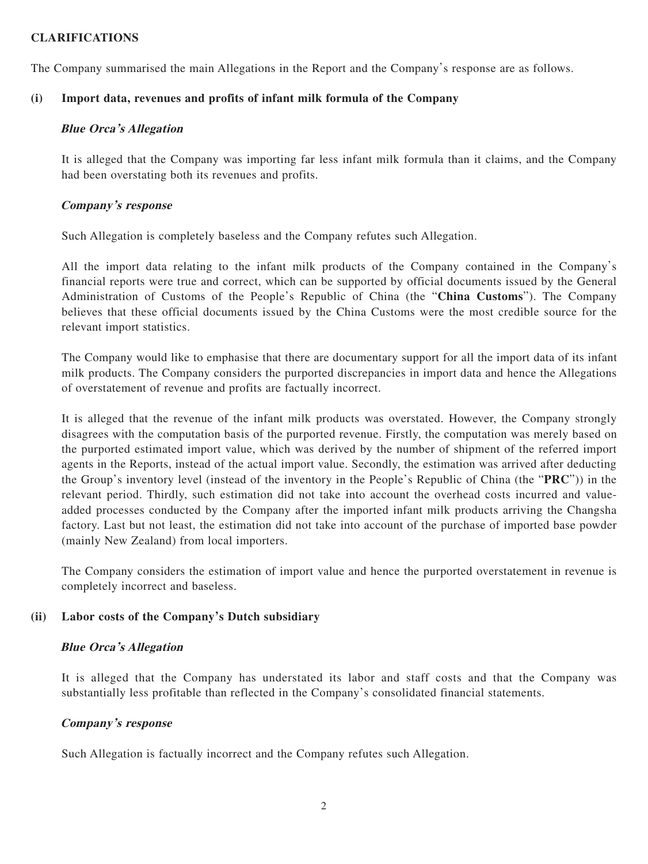# **CLARIFICATIONS**

The Company summarised the main Allegations in the Report and the Company's response are as follows.

## **(i) Import data, revenues and profits of infant milk formula of the Company**

## **Blue Orca's Allegation**

It is alleged that the Company was importing far less infant milk formula than it claims, and the Company had been overstating both its revenues and profits.

## **Company's response**

Such Allegation is completely baseless and the Company refutes such Allegation.

All the import data relating to the infant milk products of the Company contained in the Company's financial reports were true and correct, which can be supported by official documents issued by the General Administration of Customs of the People's Republic of China (the "**China Customs**"). The Company believes that these official documents issued by the China Customs were the most credible source for the relevant import statistics.

The Company would like to emphasise that there are documentary support for all the import data of its infant milk products. The Company considers the purported discrepancies in import data and hence the Allegations of overstatement of revenue and profits are factually incorrect.

It is alleged that the revenue of the infant milk products was overstated. However, the Company strongly disagrees with the computation basis of the purported revenue. Firstly, the computation was merely based on the purported estimated import value, which was derived by the number of shipment of the referred import agents in the Reports, instead of the actual import value. Secondly, the estimation was arrived after deducting the Group's inventory level (instead of the inventory in the People's Republic of China (the "**PRC**")) in the relevant period. Thirdly, such estimation did not take into account the overhead costs incurred and valueadded processes conducted by the Company after the imported infant milk products arriving the Changsha factory. Last but not least, the estimation did not take into account of the purchase of imported base powder (mainly New Zealand) from local importers.

The Company considers the estimation of import value and hence the purported overstatement in revenue is completely incorrect and baseless.

# **(ii) Labor costs of the Company's Dutch subsidiary**

#### **Blue Orca's Allegation**

It is alleged that the Company has understated its labor and staff costs and that the Company was substantially less profitable than reflected in the Company's consolidated financial statements.

#### **Company's response**

Such Allegation is factually incorrect and the Company refutes such Allegation.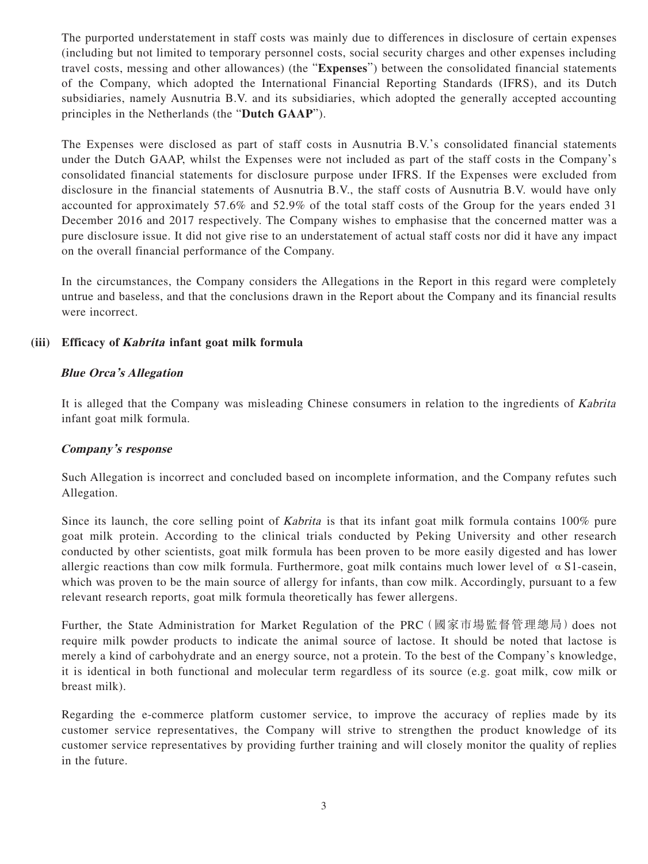The purported understatement in staff costs was mainly due to differences in disclosure of certain expenses (including but not limited to temporary personnel costs, social security charges and other expenses including travel costs, messing and other allowances) (the "**Expenses**") between the consolidated financial statements of the Company, which adopted the International Financial Reporting Standards (IFRS), and its Dutch subsidiaries, namely Ausnutria B.V. and its subsidiaries, which adopted the generally accepted accounting principles in the Netherlands (the "**Dutch GAAP**").

The Expenses were disclosed as part of staff costs in Ausnutria B.V.'s consolidated financial statements under the Dutch GAAP, whilst the Expenses were not included as part of the staff costs in the Company's consolidated financial statements for disclosure purpose under IFRS. If the Expenses were excluded from disclosure in the financial statements of Ausnutria B.V., the staff costs of Ausnutria B.V. would have only accounted for approximately 57.6% and 52.9% of the total staff costs of the Group for the years ended 31 December 2016 and 2017 respectively. The Company wishes to emphasise that the concerned matter was a pure disclosure issue. It did not give rise to an understatement of actual staff costs nor did it have any impact on the overall financial performance of the Company.

In the circumstances, the Company considers the Allegations in the Report in this regard were completely untrue and baseless, and that the conclusions drawn in the Report about the Company and its financial results were incorrect.

# **(iii) Efficacy of Kabrita infant goat milk formula**

# **Blue Orca's Allegation**

It is alleged that the Company was misleading Chinese consumers in relation to the ingredients of Kabrita infant goat milk formula.

#### **Company's response**

Such Allegation is incorrect and concluded based on incomplete information, and the Company refutes such Allegation.

Since its launch, the core selling point of Kabrita is that its infant goat milk formula contains 100% pure goat milk protein. According to the clinical trials conducted by Peking University and other research conducted by other scientists, goat milk formula has been proven to be more easily digested and has lower allergic reactions than cow milk formula. Furthermore, goat milk contains much lower level of  $\alpha$  S1-casein, which was proven to be the main source of allergy for infants, than cow milk. Accordingly, pursuant to a few relevant research reports, goat milk formula theoretically has fewer allergens.

Further, the State Administration for Market Regulation of the PRC (國家市場監督管理總局) does not require milk powder products to indicate the animal source of lactose. It should be noted that lactose is merely a kind of carbohydrate and an energy source, not a protein. To the best of the Company's knowledge, it is identical in both functional and molecular term regardless of its source (e.g. goat milk, cow milk or breast milk).

Regarding the e-commerce platform customer service, to improve the accuracy of replies made by its customer service representatives, the Company will strive to strengthen the product knowledge of its customer service representatives by providing further training and will closely monitor the quality of replies in the future.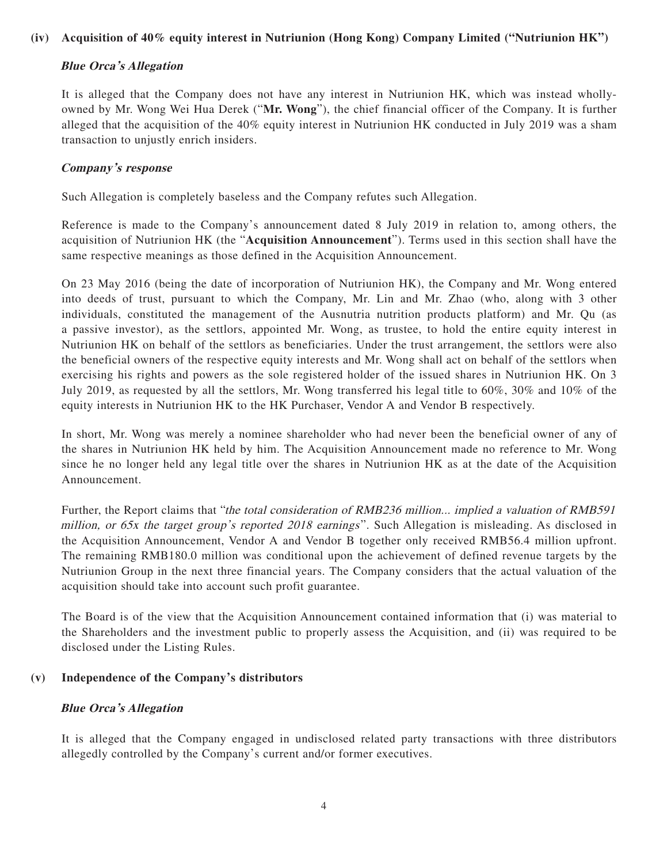# **(iv) Acquisition of 40% equity interest in Nutriunion (Hong Kong) Company Limited ("Nutriunion HK")**

#### **Blue Orca's Allegation**

It is alleged that the Company does not have any interest in Nutriunion HK, which was instead whollyowned by Mr. Wong Wei Hua Derek ("**Mr. Wong**"), the chief financial officer of the Company. It is further alleged that the acquisition of the 40% equity interest in Nutriunion HK conducted in July 2019 was a sham transaction to unjustly enrich insiders.

#### **Company's response**

Such Allegation is completely baseless and the Company refutes such Allegation.

Reference is made to the Company's announcement dated 8 July 2019 in relation to, among others, the acquisition of Nutriunion HK (the "**Acquisition Announcement**"). Terms used in this section shall have the same respective meanings as those defined in the Acquisition Announcement.

On 23 May 2016 (being the date of incorporation of Nutriunion HK), the Company and Mr. Wong entered into deeds of trust, pursuant to which the Company, Mr. Lin and Mr. Zhao (who, along with 3 other individuals, constituted the management of the Ausnutria nutrition products platform) and Mr. Qu (as a passive investor), as the settlors, appointed Mr. Wong, as trustee, to hold the entire equity interest in Nutriunion HK on behalf of the settlors as beneficiaries. Under the trust arrangement, the settlors were also the beneficial owners of the respective equity interests and Mr. Wong shall act on behalf of the settlors when exercising his rights and powers as the sole registered holder of the issued shares in Nutriunion HK. On 3 July 2019, as requested by all the settlors, Mr. Wong transferred his legal title to 60%, 30% and 10% of the equity interests in Nutriunion HK to the HK Purchaser, Vendor A and Vendor B respectively.

In short, Mr. Wong was merely a nominee shareholder who had never been the beneficial owner of any of the shares in Nutriunion HK held by him. The Acquisition Announcement made no reference to Mr. Wong since he no longer held any legal title over the shares in Nutriunion HK as at the date of the Acquisition Announcement.

Further, the Report claims that "the total consideration of RMB236 million... implied a valuation of RMB591 million, or 65x the target group's reported 2018 earnings". Such Allegation is misleading. As disclosed in the Acquisition Announcement, Vendor A and Vendor B together only received RMB56.4 million upfront. The remaining RMB180.0 million was conditional upon the achievement of defined revenue targets by the Nutriunion Group in the next three financial years. The Company considers that the actual valuation of the acquisition should take into account such profit guarantee.

The Board is of the view that the Acquisition Announcement contained information that (i) was material to the Shareholders and the investment public to properly assess the Acquisition, and (ii) was required to be disclosed under the Listing Rules.

#### **(v) Independence of the Company's distributors**

#### **Blue Orca's Allegation**

It is alleged that the Company engaged in undisclosed related party transactions with three distributors allegedly controlled by the Company's current and/or former executives.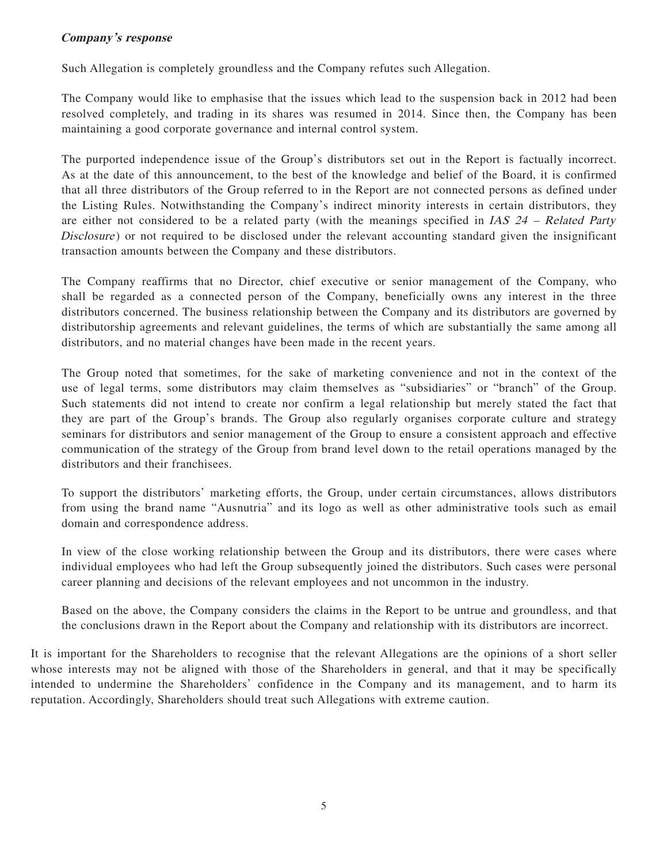# **Company's response**

Such Allegation is completely groundless and the Company refutes such Allegation.

The Company would like to emphasise that the issues which lead to the suspension back in 2012 had been resolved completely, and trading in its shares was resumed in 2014. Since then, the Company has been maintaining a good corporate governance and internal control system.

The purported independence issue of the Group's distributors set out in the Report is factually incorrect. As at the date of this announcement, to the best of the knowledge and belief of the Board, it is confirmed that all three distributors of the Group referred to in the Report are not connected persons as defined under the Listing Rules. Notwithstanding the Company's indirect minority interests in certain distributors, they are either not considered to be a related party (with the meanings specified in IAS 24 – Related Party Disclosure) or not required to be disclosed under the relevant accounting standard given the insignificant transaction amounts between the Company and these distributors.

The Company reaffirms that no Director, chief executive or senior management of the Company, who shall be regarded as a connected person of the Company, beneficially owns any interest in the three distributors concerned. The business relationship between the Company and its distributors are governed by distributorship agreements and relevant guidelines, the terms of which are substantially the same among all distributors, and no material changes have been made in the recent years.

The Group noted that sometimes, for the sake of marketing convenience and not in the context of the use of legal terms, some distributors may claim themselves as "subsidiaries" or "branch" of the Group. Such statements did not intend to create nor confirm a legal relationship but merely stated the fact that they are part of the Group's brands. The Group also regularly organises corporate culture and strategy seminars for distributors and senior management of the Group to ensure a consistent approach and effective communication of the strategy of the Group from brand level down to the retail operations managed by the distributors and their franchisees.

To support the distributors' marketing efforts, the Group, under certain circumstances, allows distributors from using the brand name "Ausnutria" and its logo as well as other administrative tools such as email domain and correspondence address.

In view of the close working relationship between the Group and its distributors, there were cases where individual employees who had left the Group subsequently joined the distributors. Such cases were personal career planning and decisions of the relevant employees and not uncommon in the industry.

Based on the above, the Company considers the claims in the Report to be untrue and groundless, and that the conclusions drawn in the Report about the Company and relationship with its distributors are incorrect.

It is important for the Shareholders to recognise that the relevant Allegations are the opinions of a short seller whose interests may not be aligned with those of the Shareholders in general, and that it may be specifically intended to undermine the Shareholders' confidence in the Company and its management, and to harm its reputation. Accordingly, Shareholders should treat such Allegations with extreme caution.